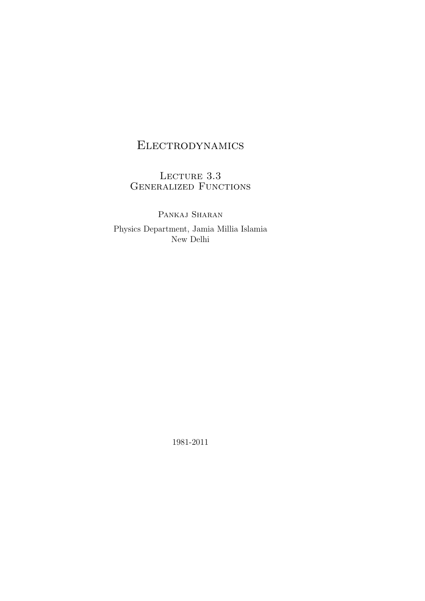# Electrodynamics

LECTURE  $3.3\,$ GENERALIZED FUNCTIONS

PANKAJ SHARAN Physics Department, Jamia Millia Islamia New Delhi

1981-2011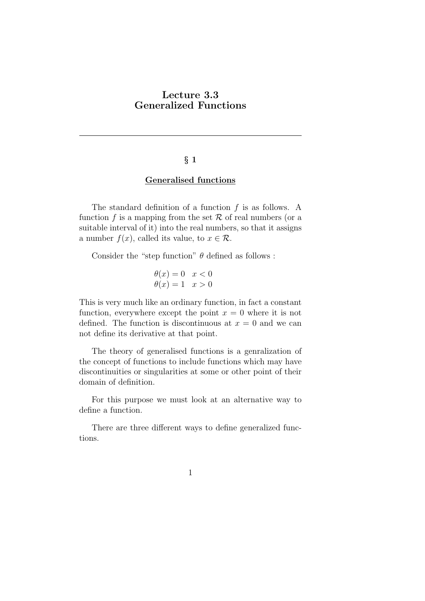# Lecture 3.3 Generalized Functions

#### $§$  1

### Generalised functions

The standard definition of a function  $f$  is as follows. A function f is a mapping from the set  $\mathcal R$  of real numbers (or a suitable interval of it) into the real numbers, so that it assigns a number  $f(x)$ , called its value, to  $x \in \mathcal{R}$ .

Consider the "step function"  $\theta$  defined as follows :

$$
\begin{aligned}\n\theta(x) &= 0 & x < 0 \\
\theta(x) &= 1 & x > 0\n\end{aligned}
$$

This is very much like an ordinary function, in fact a constant function, everywhere except the point  $x = 0$  where it is not defined. The function is discontinuous at  $x = 0$  and we can not define its derivative at that point.

The theory of generalised functions is a genralization of the concept of functions to include functions which may have discontinuities or singularities at some or other point of their domain of definition.

For this purpose we must look at an alternative way to define a function.

There are three different ways to define generalized functions.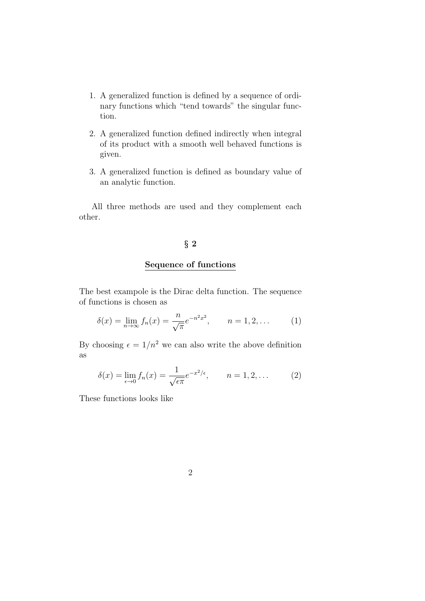- 1. A generalized function is defined by a sequence of ordinary functions which "tend towards" the singular function.
- 2. A generalized function defined indirectly when integral of its product with a smooth well behaved functions is given.
- 3. A generalized function is defined as boundary value of an analytic function.

All three methods are used and they complement each other.

#### § 2

#### Sequence of functions

The best exampole is the Dirac delta function. The sequence of functions is chosen as

$$
\delta(x) = \lim_{n \to \infty} f_n(x) = \frac{n}{\sqrt{\pi}} e^{-n^2 x^2}, \qquad n = 1, 2, \dots \tag{1}
$$

By choosing  $\epsilon = 1/n^2$  we can also write the above definition as

$$
\delta(x) = \lim_{\epsilon \to 0} f_n(x) = \frac{1}{\sqrt{\epsilon \pi}} e^{-x^2/\epsilon}, \qquad n = 1, 2, \dots \tag{2}
$$

These functions looks like

2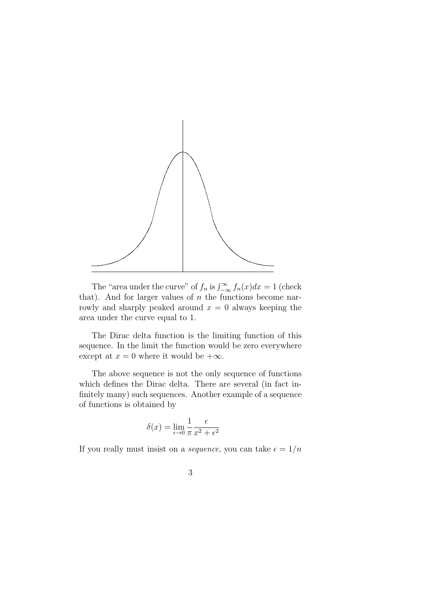

The "area under the curve" of  $f_n$  is  $\int_{-\infty}^{\infty} f_n(x) dx = 1$  (check that). And for larger values of  $n$  the functions become narrowly and sharply peaked around  $x = 0$  always keeping the area under the curve equal to 1.

The Dirac delta function is the limiting function of this sequence. In the limit the function would be zero everywhere except at  $x = 0$  where it would be  $+\infty$ .

The above sequence is not the only sequence of functions which defines the Dirac delta. There are several (in fact infinitely many) such sequences. Another example of a sequence of functions is obtained by

$$
\delta(x) = \lim_{\epsilon \to 0} \frac{1}{\pi} \frac{\epsilon}{x^2 + \epsilon^2}
$$

If you really must insist on a *sequence*, you can take  $\epsilon = 1/n$ 

3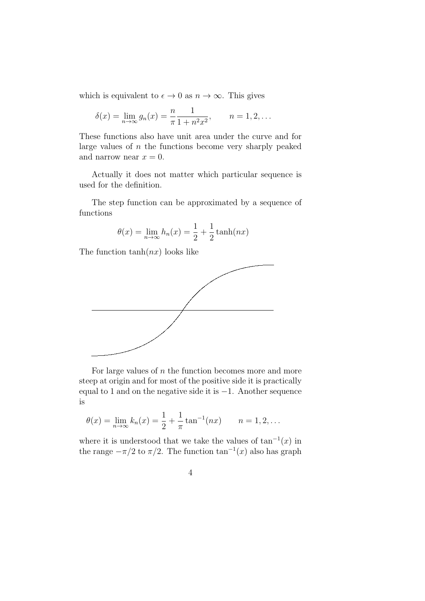which is equivalent to  $\epsilon \to 0$  as  $n \to \infty$ . This gives

$$
\delta(x) = \lim_{n \to \infty} g_n(x) = \frac{n}{\pi} \frac{1}{1 + n^2 x^2}, \qquad n = 1, 2, ...
$$

These functions also have unit area under the curve and for large values of  $n$  the functions become very sharply peaked and narrow near  $x = 0$ .

Actually it does not matter which particular sequence is used for the definition.

The step function can be approximated by a sequence of functions

$$
\theta(x) = \lim_{n \to \infty} h_n(x) = \frac{1}{2} + \frac{1}{2} \tanh(nx)
$$

The function  $tanh(nx)$  looks like



For large values of  $n$  the function becomes more and more steep at origin and for most of the positive side it is practically equal to 1 and on the negative side it is −1. Another sequence is

$$
\theta(x) = \lim_{n \to \infty} k_n(x) = \frac{1}{2} + \frac{1}{\pi} \tan^{-1}(nx)
$$
  $n = 1, 2, ...$ 

where it is understood that we take the values of  $tan^{-1}(x)$  in the range  $-\pi/2$  to  $\pi/2$ . The function  $\tan^{-1}(x)$  also has graph

$$
\phantom{0}4
$$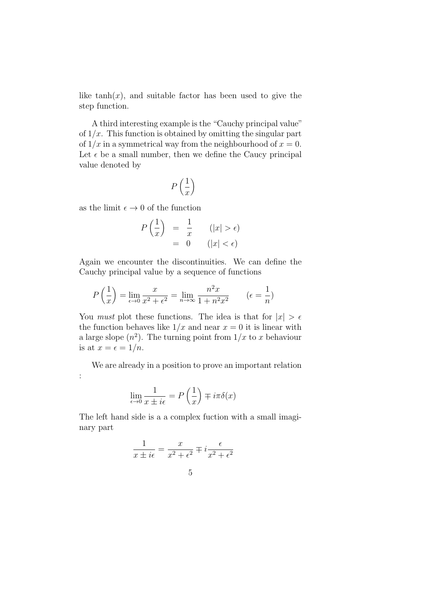like  $tanh(x)$ , and suitable factor has been used to give the step function.

A third interesting example is the "Cauchy principal value" of  $1/x$ . This function is obtained by omitting the singular part of  $1/x$  in a symmetrical way from the neighbourhood of  $x = 0$ . Let  $\epsilon$  be a small number, then we define the Caucy principal value denoted by

$$
P\left(\frac{1}{x}\right)
$$

as the limit  $\epsilon \to 0$  of the function

:

$$
P\left(\frac{1}{x}\right) = \frac{1}{x} \qquad (|x| > \epsilon)
$$

$$
= 0 \qquad (|x| < \epsilon)
$$

Again we encounter the discontinuities. We can define the Cauchy principal value by a sequence of functions

$$
P\left(\frac{1}{x}\right) = \lim_{\epsilon \to 0} \frac{x}{x^2 + \epsilon^2} = \lim_{n \to \infty} \frac{n^2 x}{1 + n^2 x^2} \qquad (\epsilon = \frac{1}{n})
$$

You *must* plot these functions. The idea is that for  $|x| > \epsilon$ the function behaves like  $1/x$  and near  $x = 0$  it is linear with a large slope  $(n^2)$ . The turning point from  $1/x$  to x behaviour is at  $x = \epsilon = 1/n$ .

We are already in a position to prove an important relation

$$
\lim_{\epsilon \to 0} \frac{1}{x \pm i\epsilon} = P\left(\frac{1}{x}\right) \mp i\pi \delta(x)
$$

The left hand side is a a complex fuction with a small imaginary part

$$
\frac{1}{x \pm i\epsilon} = \frac{x}{x^2 + \epsilon^2} \mp i \frac{\epsilon}{x^2 + \epsilon^2}
$$

$$
5\,
$$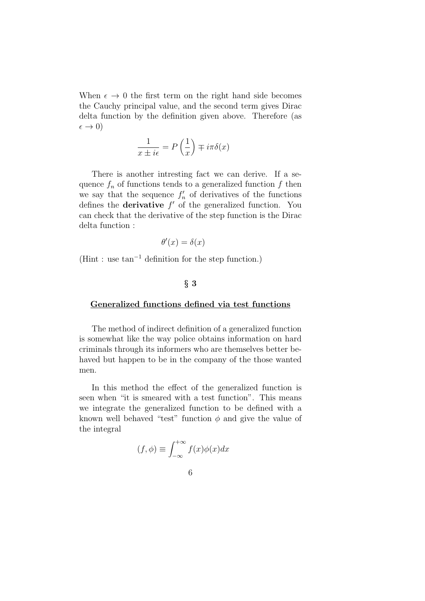When  $\epsilon \to 0$  the first term on the right hand side becomes the Cauchy principal value, and the second term gives Dirac delta function by the definition given above. Therefore (as  $\epsilon \rightarrow 0$ )

$$
\frac{1}{x \pm i\epsilon} = P\left(\frac{1}{x}\right) \mp i\pi\delta(x)
$$

There is another intresting fact we can derive. If a sequence  $f_n$  of functions tends to a generalized function f then we say that the sequence  $f'_n$  of derivatives of the functions defines the **derivative**  $f'$  of the generalized function. You can check that the derivative of the step function is the Dirac delta function :

$$
\theta'(x) = \delta(x)
$$

(Hint : use tan<sup>−</sup><sup>1</sup> definition for the step function.)

#### $§ 3$

#### Generalized functions defined via test functions

The method of indirect definition of a generalized function is somewhat like the way police obtains information on hard criminals through its informers who are themselves better behaved but happen to be in the company of the those wanted men.

In this method the effect of the generalized function is seen when "it is smeared with a test function". This means we integrate the generalized function to be defined with a known well behaved "test" function  $\phi$  and give the value of the integral

$$
(f, \phi) \equiv \int_{-\infty}^{+\infty} f(x)\phi(x)dx
$$

6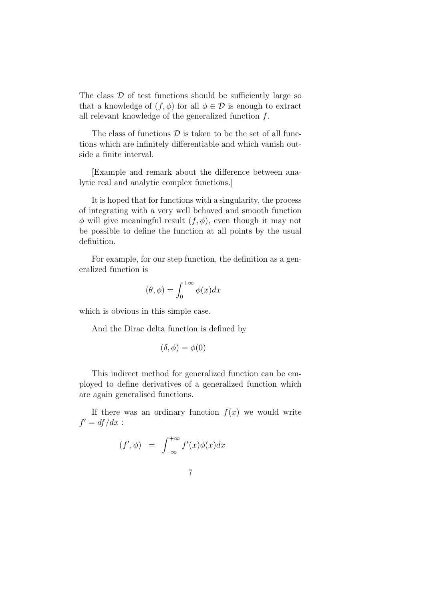The class  $\mathcal D$  of test functions should be sufficiently large so that a knowledge of  $(f, \phi)$  for all  $\phi \in \mathcal{D}$  is enough to extract all relevant knowledge of the generalized function f.

The class of functions  $\mathcal D$  is taken to be the set of all functions which are infinitely differentiable and which vanish outside a finite interval.

[Example and remark about the difference between analytic real and analytic complex functions.]

It is hoped that for functions with a singularity, the process of integrating with a very well behaved and smooth function  $\phi$  will give meaningful result  $(f, \phi)$ , even though it may not be possible to define the function at all points by the usual definition.

For example, for our step function, the definition as a generalized function is

$$
(\theta, \phi) = \int_0^{+\infty} \phi(x) dx
$$

which is obvious in this simple case.

And the Dirac delta function is defined by

$$
(\delta, \phi) = \phi(0)
$$

This indirect method for generalized function can be employed to define derivatives of a generalized function which are again generalised functions.

If there was an ordinary function  $f(x)$  we would write  $f' = df/dx$ :

$$
(f', \phi) = \int_{-\infty}^{+\infty} f'(x)\phi(x)dx
$$

$$
\overline{7}
$$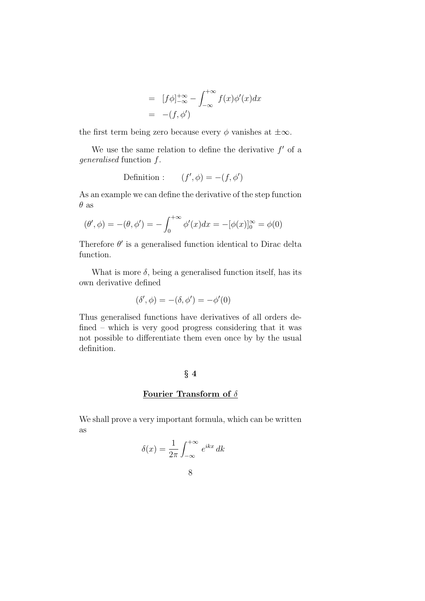$$
= [f\phi]_{-\infty}^{+\infty} - \int_{-\infty}^{+\infty} f(x)\phi'(x)dx
$$

$$
= -(f, \phi')
$$

the first term being zero because every  $\phi$  vanishes at  $\pm \infty$ .

We use the same relation to define the derivative  $f'$  of a generalised function f.

Definition : 
$$
(f', \phi) = -(f, \phi')
$$

As an example we can define the derivative of the step function  $\theta$  as

$$
(\theta', \phi) = -(\theta, \phi') = -\int_0^{+\infty} \phi'(x) dx = -[\phi(x)]_0^{\infty} = \phi(0)
$$

Therefore  $\theta'$  is a generalised function identical to Dirac delta function.

What is more  $\delta$ , being a generalised function itself, has its own derivative defined

$$
(\delta', \phi) = -(\delta, \phi') = -\phi'(0)
$$

Thus generalised functions have derivatives of all orders defined – which is very good progress considering that it was not possible to differentiate them even once by by the usual definition.

#### § 4

## Fourier Transform of  $\delta$

We shall prove a very important formula, which can be written as

8

$$
\delta(x) = \frac{1}{2\pi} \int_{-\infty}^{+\infty} e^{ikx} dk
$$